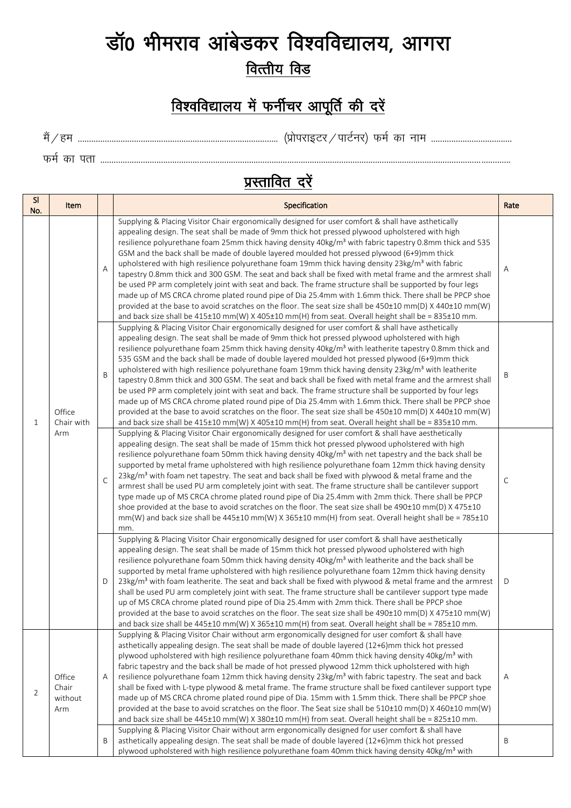## डॉ0 भीमराव आंबेडकर विश्वविद्यालय, आगरा वित्तीय विड

## विश्वविद्यालय में फर्नीचर आपूर्ति की दरें

eSa@ge ----------------------------------------------------------------------------------------- ¼izksijkbVj@ikVZuj½ QeZ dk uke ------------------------------------

QeZ dk irk --------------------------------------------------------------------------------------------------------------------------------------------------------------------------------------

<u>प्रस्तावित दरें</u>

| <sub>SI</sub><br>No. | Item                              |   | Specification                                                                                                                                                                                                                                                                                                                                                                                                                                                                                                                                                                                                                                                                                                                                                                                                                                                                                                                                                                                                                                                                                         | Rate |
|----------------------|-----------------------------------|---|-------------------------------------------------------------------------------------------------------------------------------------------------------------------------------------------------------------------------------------------------------------------------------------------------------------------------------------------------------------------------------------------------------------------------------------------------------------------------------------------------------------------------------------------------------------------------------------------------------------------------------------------------------------------------------------------------------------------------------------------------------------------------------------------------------------------------------------------------------------------------------------------------------------------------------------------------------------------------------------------------------------------------------------------------------------------------------------------------------|------|
| $\mathbf{1}$         | Office<br>Chair with<br>Arm       | A | Supplying & Placing Visitor Chair ergonomically designed for user comfort & shall have asthetically<br>appealing design. The seat shall be made of 9mm thick hot pressed plywood upholstered with high<br>resilience polyurethane foam 25mm thick having density 40kg/m <sup>3</sup> with fabric tapestry 0.8mm thick and 535<br>GSM and the back shall be made of double layered moulded hot pressed plywood (6+9)mm thick<br>upholstered with high resilience polyurethane foam 19mm thick having density 23kg/m <sup>3</sup> with fabric<br>tapestry 0.8mm thick and 300 GSM. The seat and back shall be fixed with metal frame and the armrest shall<br>be used PP arm completely joint with seat and back. The frame structure shall be supported by four legs<br>made up of MS CRCA chrome plated round pipe of Dia 25.4mm with 1.6mm thick. There shall be PPCP shoe<br>provided at the base to avoid scratches on the floor. The seat size shall be 450±10 mm(D) X 440±10 mm(W)<br>and back size shall be 415±10 mm(W) X 405±10 mm(H) from seat. Overall height shall be = 835±10 mm.         | Α    |
|                      |                                   | B | Supplying & Placing Visitor Chair ergonomically designed for user comfort & shall have asthetically<br>appealing design. The seat shall be made of 9mm thick hot pressed plywood upholstered with high<br>resilience polyurethane foam 25mm thick having density 40kg/m <sup>3</sup> with leatherite tapestry 0.8mm thick and<br>535 GSM and the back shall be made of double layered moulded hot pressed plywood (6+9)mm thick<br>upholstered with high resilience polyurethane foam 19mm thick having density 23kg/m <sup>3</sup> with leatherite<br>tapestry 0.8mm thick and 300 GSM. The seat and back shall be fixed with metal frame and the armrest shall<br>be used PP arm completely joint with seat and back. The frame structure shall be supported by four legs<br>made up of MS CRCA chrome plated round pipe of Dia 25.4mm with 1.6mm thick. There shall be PPCP shoe<br>provided at the base to avoid scratches on the floor. The seat size shall be 450±10 mm(D) X 440±10 mm(W)<br>and back size shall be 415±10 mm(W) X 405±10 mm(H) from seat. Overall height shall be = 835±10 mm. | Β    |
|                      |                                   | C | Supplying & Placing Visitor Chair ergonomically designed for user comfort & shall have aesthetically<br>appealing design. The seat shall be made of 15mm thick hot pressed plywood upholstered with high<br>resilience polyurethane foam 50mm thick having density 40kg/m <sup>3</sup> with net tapestry and the back shall be<br>supported by metal frame upholstered with high resilience polyurethane foam 12mm thick having density<br>23kg/m <sup>3</sup> with foam net tapestry. The seat and back shall be fixed with plywood & metal frame and the<br>armrest shall be used PU arm completely joint with seat. The frame structure shall be cantilever support<br>type made up of MS CRCA chrome plated round pipe of Dia 25.4mm with 2mm thick. There shall be PPCP<br>shoe provided at the base to avoid scratches on the floor. The seat size shall be 490±10 mm(D) X 475±10<br>mm(W) and back size shall be 445±10 mm(W) X 365±10 mm(H) from seat. Overall height shall be = 785±10<br>mm.                                                                                                | C    |
|                      |                                   | D | Supplying & Placing Visitor Chair ergonomically designed for user comfort & shall have aesthetically<br>appealing design. The seat shall be made of 15mm thick hot pressed plywood upholstered with high<br>resilience polyurethane foam 50mm thick having density 40kg/m <sup>3</sup> with leatherite and the back shall be<br>supported by metal frame upholstered with high resilience polyurethane foam 12mm thick having density<br>23kg/m <sup>3</sup> with foam leatherite. The seat and back shall be fixed with plywood & metal frame and the armrest<br>shall be used PU arm completely joint with seat. The frame structure shall be cantilever support type made<br>up of MS CRCA chrome plated round pipe of Dia 25.4mm with 2mm thick. There shall be PPCP shoe<br>provided at the base to avoid scratches on the floor. The seat size shall be 490±10 mm(D) X 475±10 mm(W)<br>and back size shall be $445\pm10$ mm(W) X 365 $\pm10$ mm(H) from seat. Overall height shall be = 785 $\pm10$ mm.                                                                                         | D    |
| 2                    | Office<br>Chair<br>without<br>Arm | A | Supplying & Placing Visitor Chair without arm ergonomically designed for user comfort & shall have<br>asthetically appealing design. The seat shall be made of double layered (12+6)mm thick hot pressed<br>plywood upholstered with high resilience polyurethane foam 40mm thick having density 40kg/m <sup>3</sup> with<br>fabric tapestry and the back shall be made of hot pressed plywood 12mm thick upholstered with high<br>resilience polyurethane foam 12mm thick having density 23kg/m <sup>3</sup> with fabric tapestry. The seat and back<br>shall be fixed with L-type plywood & metal frame. The frame structure shall be fixed cantilever support type<br>made up of MS CRCA chrome plated round pipe of Dia. 15mm with 1.5mm thick. There shall be PPCP shoe<br>provided at the base to avoid scratches on the floor. The Seat size shall be 510±10 mm(D) X 460±10 mm(W)<br>and back size shall be 445±10 mm(W) X 380±10 mm(H) from seat. Overall height shall be = 825±10 mm.                                                                                                        | Α    |
|                      |                                   | Β | Supplying & Placing Visitor Chair without arm ergonomically designed for user comfort & shall have<br>asthetically appealing design. The seat shall be made of double layered (12+6)mm thick hot pressed<br>plywood upholstered with high resilience polyurethane foam 40mm thick having density 40kg/m <sup>3</sup> with                                                                                                                                                                                                                                                                                                                                                                                                                                                                                                                                                                                                                                                                                                                                                                             | Β    |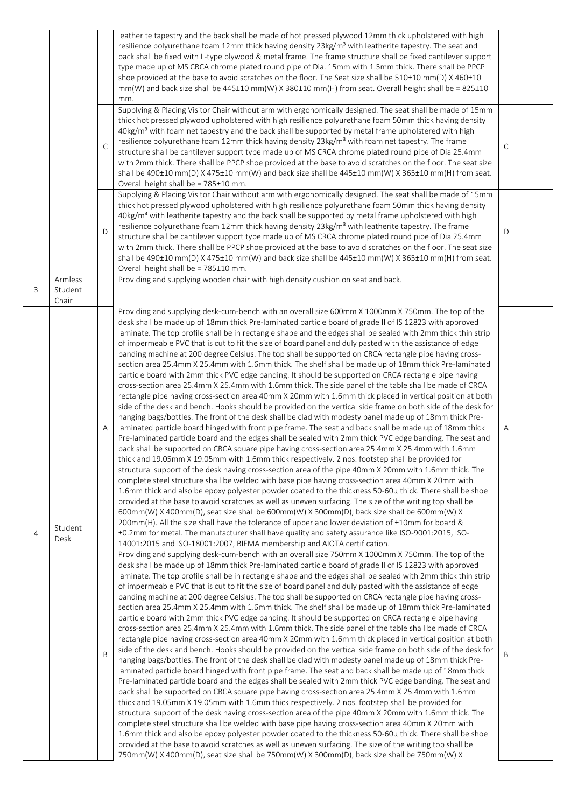|   |                             | $\mathsf{C}$ | leatherite tapestry and the back shall be made of hot pressed plywood 12mm thick upholstered with high<br>resilience polyurethane foam 12mm thick having density 23kg/m <sup>3</sup> with leatherite tapestry. The seat and<br>back shall be fixed with L-type plywood & metal frame. The frame structure shall be fixed cantilever support<br>type made up of MS CRCA chrome plated round pipe of Dia. 15mm with 1.5mm thick. There shall be PPCP<br>shoe provided at the base to avoid scratches on the floor. The Seat size shall be 510±10 mm(D) X 460±10<br>mm(W) and back size shall be 445±10 mm(W) X 380±10 mm(H) from seat. Overall height shall be = 825±10<br>mm.<br>Supplying & Placing Visitor Chair without arm with ergonomically designed. The seat shall be made of 15mm<br>thick hot pressed plywood upholstered with high resilience polyurethane foam 50mm thick having density<br>40kg/m <sup>3</sup> with foam net tapestry and the back shall be supported by metal frame upholstered with high<br>resilience polyurethane foam 12mm thick having density 23kg/m <sup>3</sup> with foam net tapestry. The frame<br>structure shall be cantilever support type made up of MS CRCA chrome plated round pipe of Dia 25.4mm<br>with 2mm thick. There shall be PPCP shoe provided at the base to avoid scratches on the floor. The seat size<br>shall be 490±10 mm(D) X 475±10 mm(W) and back size shall be 445±10 mm(W) X 365±10 mm(H) from seat.<br>Overall height shall be = 785±10 mm.                                                                                                                                                                                                                                                                                                                                                                                                                                                                                                                                                                                                                                                                                                                                                                                                                                                                                                                                                                          | $\mathsf{C}$ |
|---|-----------------------------|--------------|---------------------------------------------------------------------------------------------------------------------------------------------------------------------------------------------------------------------------------------------------------------------------------------------------------------------------------------------------------------------------------------------------------------------------------------------------------------------------------------------------------------------------------------------------------------------------------------------------------------------------------------------------------------------------------------------------------------------------------------------------------------------------------------------------------------------------------------------------------------------------------------------------------------------------------------------------------------------------------------------------------------------------------------------------------------------------------------------------------------------------------------------------------------------------------------------------------------------------------------------------------------------------------------------------------------------------------------------------------------------------------------------------------------------------------------------------------------------------------------------------------------------------------------------------------------------------------------------------------------------------------------------------------------------------------------------------------------------------------------------------------------------------------------------------------------------------------------------------------------------------------------------------------------------------------------------------------------------------------------------------------------------------------------------------------------------------------------------------------------------------------------------------------------------------------------------------------------------------------------------------------------------------------------------------------------------------------------------------------------------------------------------------------------------------------------------------------------------------------------|--------------|
|   |                             | D            | Supplying & Placing Visitor Chair without arm with ergonomically designed. The seat shall be made of 15mm<br>thick hot pressed plywood upholstered with high resilience polyurethane foam 50mm thick having density<br>40kg/m <sup>3</sup> with leatherite tapestry and the back shall be supported by metal frame upholstered with high<br>resilience polyurethane foam 12mm thick having density 23kg/m <sup>3</sup> with leatherite tapestry. The frame<br>structure shall be cantilever support type made up of MS CRCA chrome plated round pipe of Dia 25.4mm<br>with 2mm thick. There shall be PPCP shoe provided at the base to avoid scratches on the floor. The seat size<br>shall be 490±10 mm(D) X 475±10 mm(W) and back size shall be 445±10 mm(W) X 365±10 mm(H) from seat.<br>Overall height shall be = 785±10 mm.                                                                                                                                                                                                                                                                                                                                                                                                                                                                                                                                                                                                                                                                                                                                                                                                                                                                                                                                                                                                                                                                                                                                                                                                                                                                                                                                                                                                                                                                                                                                                                                                                                                      | D            |
| 3 | Armless<br>Student<br>Chair |              | Providing and supplying wooden chair with high density cushion on seat and back.                                                                                                                                                                                                                                                                                                                                                                                                                                                                                                                                                                                                                                                                                                                                                                                                                                                                                                                                                                                                                                                                                                                                                                                                                                                                                                                                                                                                                                                                                                                                                                                                                                                                                                                                                                                                                                                                                                                                                                                                                                                                                                                                                                                                                                                                                                                                                                                                      |              |
| 4 | Student<br>Desk             | Α            | Providing and supplying desk-cum-bench with an overall size 600mm X 1000mm X 750mm. The top of the<br>desk shall be made up of 18mm thick Pre-laminated particle board of grade II of IS 12823 with approved<br>laminate. The top profile shall be in rectangle shape and the edges shall be sealed with 2mm thick thin strip<br>of impermeable PVC that is cut to fit the size of board panel and duly pasted with the assistance of edge<br>banding machine at 200 degree Celsius. The top shall be supported on CRCA rectangle pipe having cross-<br>section area 25.4mm X 25.4mm with 1.6mm thick. The shelf shall be made up of 18mm thick Pre-laminated<br>particle board with 2mm thick PVC edge banding. It should be supported on CRCA rectangle pipe having<br>cross-section area 25.4mm X 25.4mm with 1.6mm thick. The side panel of the table shall be made of CRCA<br>rectangle pipe having cross-section area 40mm X 20mm with 1.6mm thick placed in vertical position at both<br>side of the desk and bench. Hooks should be provided on the vertical side frame on both side of the desk for<br>hanging bags/bottles. The front of the desk shall be clad with modesty panel made up of 18mm thick Pre-<br>laminated particle board hinged with front pipe frame. The seat and back shall be made up of 18mm thick<br>Pre-laminated particle board and the edges shall be sealed with 2mm thick PVC edge banding. The seat and<br>back shall be supported on CRCA square pipe having cross-section area 25.4mm X 25.4mm with 1.6mm<br>thick and 19.05mm X 19.05mm with 1.6mm thick respectively. 2 nos. footstep shall be provided for<br>structural support of the desk having cross-section area of the pipe 40mm X 20mm with 1.6mm thick. The<br>complete steel structure shall be welded with base pipe having cross-section area 40mm X 20mm with<br>1.6mm thick and also be epoxy polyester powder coated to the thickness 50-60µ thick. There shall be shoe<br>provided at the base to avoid scratches as well as uneven surfacing. The size of the writing top shall be<br>600mm(W) X 400mm(D), seat size shall be 600mm(W) X 300mm(D), back size shall be 600mm(W) X<br>200mm(H). All the size shall have the tolerance of upper and lower deviation of ±10mm for board &<br>±0.2mm for metal. The manufacturer shall have quality and safety assurance like ISO-9001:2015, ISO-<br>14001:2015 and ISO-18001:2007, BIFMA membership and AIOTA certification. | Α            |
|   |                             | B            | Providing and supplying desk-cum-bench with an overall size 750mm X 1000mm X 750mm. The top of the<br>desk shall be made up of 18mm thick Pre-laminated particle board of grade II of IS 12823 with approved<br>laminate. The top profile shall be in rectangle shape and the edges shall be sealed with 2mm thick thin strip<br>of impermeable PVC that is cut to fit the size of board panel and duly pasted with the assistance of edge<br>banding machine at 200 degree Celsius. The top shall be supported on CRCA rectangle pipe having cross-<br>section area 25.4mm X 25.4mm with 1.6mm thick. The shelf shall be made up of 18mm thick Pre-laminated<br>particle board with 2mm thick PVC edge banding. It should be supported on CRCA rectangle pipe having<br>cross-section area 25.4mm X 25.4mm with 1.6mm thick. The side panel of the table shall be made of CRCA<br>rectangle pipe having cross-section area 40mm X 20mm with 1.6mm thick placed in vertical position at both<br>side of the desk and bench. Hooks should be provided on the vertical side frame on both side of the desk for<br>hanging bags/bottles. The front of the desk shall be clad with modesty panel made up of 18mm thick Pre-<br>laminated particle board hinged with front pipe frame. The seat and back shall be made up of 18mm thick<br>Pre-laminated particle board and the edges shall be sealed with 2mm thick PVC edge banding. The seat and<br>back shall be supported on CRCA square pipe having cross-section area 25.4mm X 25.4mm with 1.6mm<br>thick and 19.05mm X 19.05mm with 1.6mm thick respectively. 2 nos. footstep shall be provided for<br>structural support of the desk having cross-section area of the pipe 40mm X 20mm with 1.6mm thick. The<br>complete steel structure shall be welded with base pipe having cross-section area 40mm X 20mm with<br>1.6mm thick and also be epoxy polyester powder coated to the thickness 50-60µ thick. There shall be shoe<br>provided at the base to avoid scratches as well as uneven surfacing. The size of the writing top shall be<br>750mm(W) X 400mm(D), seat size shall be 750mm(W) X 300mm(D), back size shall be 750mm(W) X                                                                                                                                                                                                                                                                                         | B            |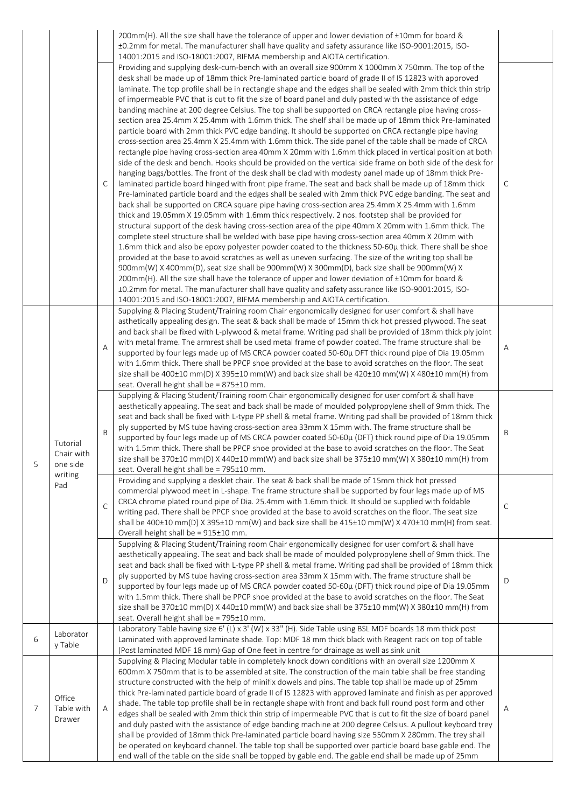|   |                                                      | C            | 200mm(H). All the size shall have the tolerance of upper and lower deviation of ±10mm for board &<br>±0.2mm for metal. The manufacturer shall have quality and safety assurance like ISO-9001:2015, ISO-<br>14001:2015 and ISO-18001:2007, BIFMA membership and AIOTA certification.<br>Providing and supplying desk-cum-bench with an overall size 900mm X 1000mm X 750mm. The top of the<br>desk shall be made up of 18mm thick Pre-laminated particle board of grade II of IS 12823 with approved<br>laminate. The top profile shall be in rectangle shape and the edges shall be sealed with 2mm thick thin strip<br>of impermeable PVC that is cut to fit the size of board panel and duly pasted with the assistance of edge<br>banding machine at 200 degree Celsius. The top shall be supported on CRCA rectangle pipe having cross-<br>section area 25.4mm X 25.4mm with 1.6mm thick. The shelf shall be made up of 18mm thick Pre-laminated<br>particle board with 2mm thick PVC edge banding. It should be supported on CRCA rectangle pipe having<br>cross-section area 25.4mm X 25.4mm with 1.6mm thick. The side panel of the table shall be made of CRCA<br>rectangle pipe having cross-section area 40mm X 20mm with 1.6mm thick placed in vertical position at both<br>side of the desk and bench. Hooks should be provided on the vertical side frame on both side of the desk for<br>hanging bags/bottles. The front of the desk shall be clad with modesty panel made up of 18mm thick Pre-<br>laminated particle board hinged with front pipe frame. The seat and back shall be made up of 18mm thick<br>Pre-laminated particle board and the edges shall be sealed with 2mm thick PVC edge banding. The seat and<br>back shall be supported on CRCA square pipe having cross-section area 25.4mm X 25.4mm with 1.6mm<br>thick and 19.05mm X 19.05mm with 1.6mm thick respectively. 2 nos. footstep shall be provided for<br>structural support of the desk having cross-section area of the pipe 40mm X 20mm with 1.6mm thick. The<br>complete steel structure shall be welded with base pipe having cross-section area 40mm X 20mm with<br>1.6mm thick and also be epoxy polyester powder coated to the thickness 50-60µ thick. There shall be shoe<br>provided at the base to avoid scratches as well as uneven surfacing. The size of the writing top shall be<br>900mm(W) X 400mm(D), seat size shall be 900mm(W) X 300mm(D), back size shall be 900mm(W) X<br>200mm(H). All the size shall have the tolerance of upper and lower deviation of ±10mm for board &<br>±0.2mm for metal. The manufacturer shall have quality and safety assurance like ISO-9001:2015, ISO- | C |
|---|------------------------------------------------------|--------------|---------------------------------------------------------------------------------------------------------------------------------------------------------------------------------------------------------------------------------------------------------------------------------------------------------------------------------------------------------------------------------------------------------------------------------------------------------------------------------------------------------------------------------------------------------------------------------------------------------------------------------------------------------------------------------------------------------------------------------------------------------------------------------------------------------------------------------------------------------------------------------------------------------------------------------------------------------------------------------------------------------------------------------------------------------------------------------------------------------------------------------------------------------------------------------------------------------------------------------------------------------------------------------------------------------------------------------------------------------------------------------------------------------------------------------------------------------------------------------------------------------------------------------------------------------------------------------------------------------------------------------------------------------------------------------------------------------------------------------------------------------------------------------------------------------------------------------------------------------------------------------------------------------------------------------------------------------------------------------------------------------------------------------------------------------------------------------------------------------------------------------------------------------------------------------------------------------------------------------------------------------------------------------------------------------------------------------------------------------------------------------------------------------------------------------------------------------------------------------------------------------------------------------------------------------------------------------------------------------------------------------------------------------------------------------------------------|---|
|   |                                                      | Α            | 14001:2015 and ISO-18001:2007, BIFMA membership and AIOTA certification.<br>Supplying & Placing Student/Training room Chair ergonomically designed for user comfort & shall have<br>asthetically appealing design. The seat & back shall be made of 15mm thick hot pressed plywood. The seat<br>and back shall be fixed with L-plywood & metal frame. Writing pad shall be provided of 18mm thick ply joint<br>with metal frame. The armrest shall be used metal frame of powder coated. The frame structure shall be<br>supported by four legs made up of MS CRCA powder coated 50-60µ DFT thick round pipe of Dia 19.05mm<br>with 1.6mm thick. There shall be PPCP shoe provided at the base to avoid scratches on the floor. The seat<br>size shall be 400±10 mm(D) X 395±10 mm(W) and back size shall be 420±10 mm(W) X 480±10 mm(H) from<br>seat. Overall height shall be = 875±10 mm.                                                                                                                                                                                                                                                                                                                                                                                                                                                                                                                                                                                                                                                                                                                                                                                                                                                                                                                                                                                                                                                                                                                                                                                                                                                                                                                                                                                                                                                                                                                                                                                                                                                                                                                                                                                                       | Α |
| 5 | Tutorial<br>Chair with<br>one side<br>writing<br>Pad | B            | Supplying & Placing Student/Training room Chair ergonomically designed for user comfort & shall have<br>aesthetically appealing. The seat and back shall be made of moulded polypropylene shell of 9mm thick. The<br>seat and back shall be fixed with L-type PP shell & metal frame. Writing pad shall be provided of 18mm thick<br>ply supported by MS tube having cross-section area 33mm X 15mm with. The frame structure shall be<br>supported by four legs made up of MS CRCA powder coated 50-60µ (DFT) thick round pipe of Dia 19.05mm<br>with 1.5mm thick. There shall be PPCP shoe provided at the base to avoid scratches on the floor. The Seat<br>size shall be 370±10 mm(D) X 440±10 mm(W) and back size shall be 375±10 mm(W) X 380±10 mm(H) from<br>seat. Overall height shall be = 795±10 mm.                                                                                                                                                                                                                                                                                                                                                                                                                                                                                                                                                                                                                                                                                                                                                                                                                                                                                                                                                                                                                                                                                                                                                                                                                                                                                                                                                                                                                                                                                                                                                                                                                                                                                                                                                                                                                                                                                    | Β |
|   |                                                      | $\mathsf{C}$ | Providing and supplying a desklet chair. The seat & back shall be made of 15mm thick hot pressed<br>commercial plywood meet in L-shape. The frame structure shall be supported by four legs made up of MS<br>CRCA chrome plated round pipe of Dia. 25.4mm with 1.6mm thick. It should be supplied with foldable<br>writing pad. There shall be PPCP shoe provided at the base to avoid scratches on the floor. The seat size<br>shall be 400±10 mm(D) X 395±10 mm(W) and back size shall be 415±10 mm(W) X 470±10 mm(H) from seat.<br>Overall height shall be = 915±10 mm.                                                                                                                                                                                                                                                                                                                                                                                                                                                                                                                                                                                                                                                                                                                                                                                                                                                                                                                                                                                                                                                                                                                                                                                                                                                                                                                                                                                                                                                                                                                                                                                                                                                                                                                                                                                                                                                                                                                                                                                                                                                                                                                        | C |
|   |                                                      | D            | Supplying & Placing Student/Training room Chair ergonomically designed for user comfort & shall have<br>aesthetically appealing. The seat and back shall be made of moulded polypropylene shell of 9mm thick. The<br>seat and back shall be fixed with L-type PP shell & metal frame. Writing pad shall be provided of 18mm thick<br>ply supported by MS tube having cross-section area 33mm X 15mm with. The frame structure shall be<br>supported by four legs made up of MS CRCA powder coated 50-60µ (DFT) thick round pipe of Dia 19.05mm<br>with 1.5mm thick. There shall be PPCP shoe provided at the base to avoid scratches on the floor. The Seat<br>size shall be 370±10 mm(D) X 440±10 mm(W) and back size shall be 375±10 mm(W) X 380±10 mm(H) from<br>seat. Overall height shall be = 795±10 mm.                                                                                                                                                                                                                                                                                                                                                                                                                                                                                                                                                                                                                                                                                                                                                                                                                                                                                                                                                                                                                                                                                                                                                                                                                                                                                                                                                                                                                                                                                                                                                                                                                                                                                                                                                                                                                                                                                    | D |
| 6 | Laborator<br>y Table                                 |              | Laboratory Table having size 6' (L) x 3' (W) x 33" (H). Side Table using BSL MDF boards 18 mm thick post<br>Laminated with approved laminate shade. Top: MDF 18 mm thick black with Reagent rack on top of table<br>(Post laminated MDF 18 mm) Gap of One feet in centre for drainage as well as sink unit                                                                                                                                                                                                                                                                                                                                                                                                                                                                                                                                                                                                                                                                                                                                                                                                                                                                                                                                                                                                                                                                                                                                                                                                                                                                                                                                                                                                                                                                                                                                                                                                                                                                                                                                                                                                                                                                                                                                                                                                                                                                                                                                                                                                                                                                                                                                                                                        |   |
| 7 | Office<br>Table with<br>Drawer                       | Α            | Supplying & Placing Modular table in completely knock down conditions with an overall size 1200mm X<br>600mm X 750mm that is to be assembled at site. The construction of the main table shall be free standing<br>structure constructed with the help of minifix dowels and pins. The table top shall be made up of 25mm<br>thick Pre-laminated particle board of grade II of IS 12823 with approved laminate and finish as per approved<br>shade. The table top profile shall be in rectangle shape with front and back full round post form and other<br>edges shall be sealed with 2mm thick thin strip of impermeable PVC that is cut to fit the size of board panel<br>and duly pasted with the assistance of edge banding machine at 200 degree Celsius. A pullout keyboard trey<br>shall be provided of 18mm thick Pre-laminated particle board having size 550mm X 280mm. The trey shall<br>be operated on keyboard channel. The table top shall be supported over particle board base gable end. The<br>end wall of the table on the side shall be topped by gable end. The gable end shall be made up of 25mm                                                                                                                                                                                                                                                                                                                                                                                                                                                                                                                                                                                                                                                                                                                                                                                                                                                                                                                                                                                                                                                                                                                                                                                                                                                                                                                                                                                                                                                                                                                                                                          | Α |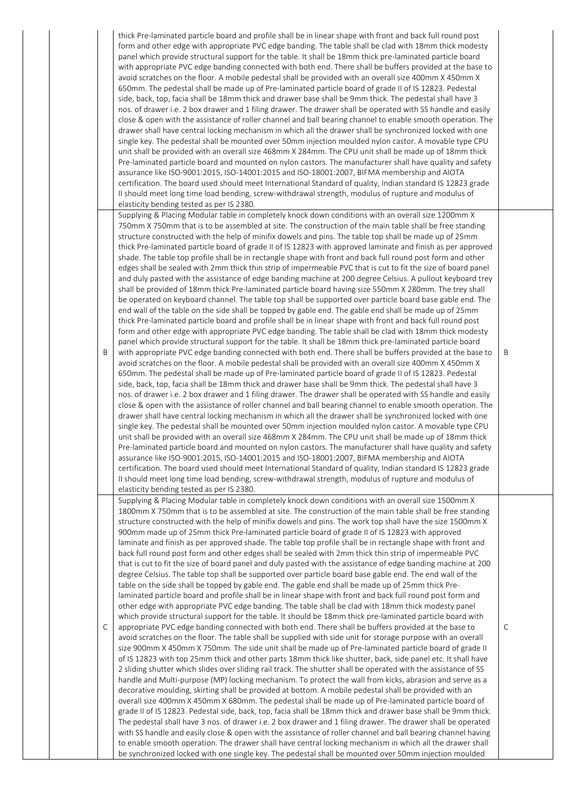|   | thick Pre-laminated particle board and profile shall be in linear shape with front and back full round post<br>form and other edge with appropriate PVC edge banding. The table shall be clad with 18mm thick modesty<br>panel which provide structural support for the table. It shall be 18mm thick pre-laminated particle board<br>with appropriate PVC edge banding connected with both end. There shall be buffers provided at the base to<br>avoid scratches on the floor. A mobile pedestal shall be provided with an overall size 400mm X 450mm X<br>650mm. The pedestal shall be made up of Pre-laminated particle board of grade II of IS 12823. Pedestal<br>side, back, top, facia shall be 18mm thick and drawer base shall be 9mm thick. The pedestal shall have 3<br>nos. of drawer i.e. 2 box drawer and 1 filing drawer. The drawer shall be operated with SS handle and easily<br>close & open with the assistance of roller channel and ball bearing channel to enable smooth operation. The<br>drawer shall have central locking mechanism in which all the drawer shall be synchronized locked with one<br>single key. The pedestal shall be mounted over 50mm injection moulded nylon castor. A movable type CPU<br>unit shall be provided with an overall size 468mm X 284mm. The CPU unit shall be made up of 18mm thick<br>Pre-laminated particle board and mounted on nylon castors. The manufacturer shall have quality and safety<br>assurance like ISO-9001:2015, ISO-14001:2015 and ISO-18001:2007, BIFMA membership and AIOTA<br>certification. The board used should meet International Standard of quality, Indian standard IS 12823 grade<br>II should meet long time load bending, screw-withdrawal strength, modulus of rupture and modulus of                                                                                                                                                                                                                                                                                                                                                                                                                                                                                                                                                                                                                                                                                                                                                                                                                                                                                                                                                                                                                                                                                                                                                                                                                       |   |
|---|---------------------------------------------------------------------------------------------------------------------------------------------------------------------------------------------------------------------------------------------------------------------------------------------------------------------------------------------------------------------------------------------------------------------------------------------------------------------------------------------------------------------------------------------------------------------------------------------------------------------------------------------------------------------------------------------------------------------------------------------------------------------------------------------------------------------------------------------------------------------------------------------------------------------------------------------------------------------------------------------------------------------------------------------------------------------------------------------------------------------------------------------------------------------------------------------------------------------------------------------------------------------------------------------------------------------------------------------------------------------------------------------------------------------------------------------------------------------------------------------------------------------------------------------------------------------------------------------------------------------------------------------------------------------------------------------------------------------------------------------------------------------------------------------------------------------------------------------------------------------------------------------------------------------------------------------------------------------------------------------------------------------------------------------------------------------------------------------------------------------------------------------------------------------------------------------------------------------------------------------------------------------------------------------------------------------------------------------------------------------------------------------------------------------------------------------------------------------------------------------------------------------------------------------------------------------------------------------------------------------------------------------------------------------------------------------------------------------------------------------------------------------------------------------------------------------------------------------------------------------------------------------------------------------------------------------------------------------------------------------------------|---|
| B | elasticity bending tested as per IS 2380.<br>Supplying & Placing Modular table in completely knock down conditions with an overall size 1200mm X<br>750mm X 750mm that is to be assembled at site. The construction of the main table shall be free standing<br>structure constructed with the help of minifix dowels and pins. The table top shall be made up of 25mm<br>thick Pre-laminated particle board of grade II of IS 12823 with approved laminate and finish as per approved<br>shade. The table top profile shall be in rectangle shape with front and back full round post form and other<br>edges shall be sealed with 2mm thick thin strip of impermeable PVC that is cut to fit the size of board panel<br>and duly pasted with the assistance of edge banding machine at 200 degree Celsius. A pullout keyboard trey<br>shall be provided of 18mm thick Pre-laminated particle board having size 550mm X 280mm. The trey shall<br>be operated on keyboard channel. The table top shall be supported over particle board base gable end. The<br>end wall of the table on the side shall be topped by gable end. The gable end shall be made up of 25mm<br>thick Pre-laminated particle board and profile shall be in linear shape with front and back full round post<br>form and other edge with appropriate PVC edge banding. The table shall be clad with 18mm thick modesty<br>panel which provide structural support for the table. It shall be 18mm thick pre-laminated particle board<br>with appropriate PVC edge banding connected with both end. There shall be buffers provided at the base to<br>avoid scratches on the floor. A mobile pedestal shall be provided with an overall size 400mm X 450mm X<br>650mm. The pedestal shall be made up of Pre-laminated particle board of grade II of IS 12823. Pedestal<br>side, back, top, facia shall be 18mm thick and drawer base shall be 9mm thick. The pedestal shall have 3<br>nos. of drawer i.e. 2 box drawer and 1 filing drawer. The drawer shall be operated with SS handle and easily<br>close & open with the assistance of roller channel and ball bearing channel to enable smooth operation. The<br>drawer shall have central locking mechanism in which all the drawer shall be synchronized locked with one<br>single key. The pedestal shall be mounted over 50mm injection moulded nylon castor. A movable type CPU<br>unit shall be provided with an overall size 468mm X 284mm. The CPU unit shall be made up of 18mm thick<br>Pre-laminated particle board and mounted on nylon castors. The manufacturer shall have quality and safety<br>assurance like ISO-9001:2015, ISO-14001:2015 and ISO-18001:2007, BIFMA membership and AIOTA<br>certification. The board used should meet International Standard of quality, Indian standard IS 12823 grade<br>II should meet long time load bending, screw-withdrawal strength, modulus of rupture and modulus of<br>elasticity bending tested as per IS 2380. | Β |
| С | Supplying & Placing Modular table in completely knock down conditions with an overall size 1500mm X<br>1800mm X 750mm that is to be assembled at site. The construction of the main table shall be free standing<br>structure constructed with the help of minifix dowels and pins. The work top shall have the size 1500mm X<br>900mm made up of 25mm thick Pre-laminated particle board of grade II of IS 12823 with approved<br>laminate and finish as per approved shade. The table top profile shall be in rectangle shape with front and<br>back full round post form and other edges shall be sealed with 2mm thick thin strip of impermeable PVC<br>that is cut to fit the size of board panel and duly pasted with the assistance of edge banding machine at 200<br>degree Celsius. The table top shall be supported over particle board base gable end. The end wall of the<br>table on the side shall be topped by gable end. The gable end shall be made up of 25mm thick Pre-<br>laminated particle board and profile shall be in linear shape with front and back full round post form and<br>other edge with appropriate PVC edge banding. The table shall be clad with 18mm thick modesty panel<br>which provide structural support for the table. It should be 18mm thick pre-laminated particle board with<br>appropriate PVC edge banding connected with both end. There shall be buffers provided at the base to<br>avoid scratches on the floor. The table shall be supplied with side unit for storage purpose with an overall<br>size 900mm X 450mm X 750mm. The side unit shall be made up of Pre-laminated particle board of grade II<br>of IS 12823 with top 25mm thick and other parts 18mm thick like shutter, back, side panel etc. It shall have<br>2 sliding shutter which slides over sliding rail track. The shutter shall be operated with the assistance of SS<br>handle and Multi-purpose (MP) locking mechanism. To protect the wall from kicks, abrasion and serve as a<br>decorative moulding, skirting shall be provided at bottom. A mobile pedestal shall be provided with an<br>overall size 400mm X 450mm X 680mm. The pedestal shall be made up of Pre-laminated particle board of<br>grade II of IS 12823. Pedestal side, back, top, facia shall be 18mm thick and drawer base shall be 9mm thick.<br>The pedestal shall have 3 nos. of drawer i.e. 2 box drawer and 1 filing drawer. The drawer shall be operated<br>with SS handle and easily close & open with the assistance of roller channel and ball bearing channel having<br>to enable smooth operation. The drawer shall have central locking mechanism in which all the drawer shall<br>be synchronized locked with one single key. The pedestal shall be mounted over 50mm injection moulded                                                                                                                                                                                                  | C |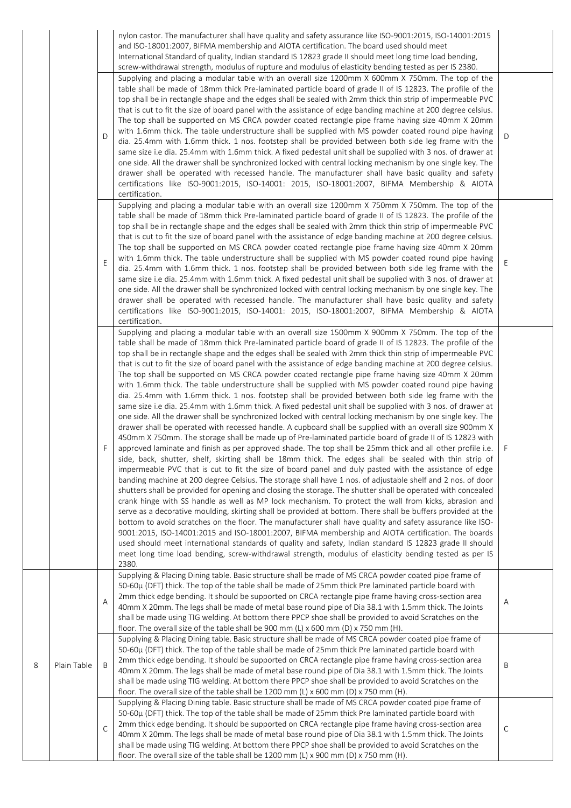|   |             | D | nylon castor. The manufacturer shall have quality and safety assurance like ISO-9001:2015, ISO-14001:2015<br>and ISO-18001:2007, BIFMA membership and AIOTA certification. The board used should meet<br>International Standard of quality, Indian standard IS 12823 grade II should meet long time load bending,<br>screw-withdrawal strength, modulus of rupture and modulus of elasticity bending tested as per IS 2380.<br>Supplying and placing a modular table with an overall size 1200mm X 600mm X 750mm. The top of the<br>table shall be made of 18mm thick Pre-laminated particle board of grade II of IS 12823. The profile of the<br>top shall be in rectangle shape and the edges shall be sealed with 2mm thick thin strip of impermeable PVC<br>that is cut to fit the size of board panel with the assistance of edge banding machine at 200 degree celsius.<br>The top shall be supported on MS CRCA powder coated rectangle pipe frame having size 40mm X 20mm<br>with 1.6mm thick. The table understructure shall be supplied with MS powder coated round pipe having<br>dia. 25.4mm with 1.6mm thick. 1 nos. footstep shall be provided between both side leg frame with the<br>same size i.e dia. 25.4mm with 1.6mm thick. A fixed pedestal unit shall be supplied with 3 nos. of drawer at<br>one side. All the drawer shall be synchronized locked with central locking mechanism by one single key. The<br>drawer shall be operated with recessed handle. The manufacturer shall have basic quality and safety<br>certifications like ISO-9001:2015, ISO-14001: 2015, ISO-18001:2007, BIFMA Membership & AIOTA<br>certification.                                                                                                                                                                                                                                                                                                                                                                                                                                                                                                                                                                                                                                                                                                                                                                                                              | D  |
|---|-------------|---|------------------------------------------------------------------------------------------------------------------------------------------------------------------------------------------------------------------------------------------------------------------------------------------------------------------------------------------------------------------------------------------------------------------------------------------------------------------------------------------------------------------------------------------------------------------------------------------------------------------------------------------------------------------------------------------------------------------------------------------------------------------------------------------------------------------------------------------------------------------------------------------------------------------------------------------------------------------------------------------------------------------------------------------------------------------------------------------------------------------------------------------------------------------------------------------------------------------------------------------------------------------------------------------------------------------------------------------------------------------------------------------------------------------------------------------------------------------------------------------------------------------------------------------------------------------------------------------------------------------------------------------------------------------------------------------------------------------------------------------------------------------------------------------------------------------------------------------------------------------------------------------------------------------------------------------------------------------------------------------------------------------------------------------------------------------------------------------------------------------------------------------------------------------------------------------------------------------------------------------------------------------------------------------------------------------------------------------------------------------------------------------------------------------------------------------------------------------------|----|
|   |             | Ε | Supplying and placing a modular table with an overall size 1200mm X 750mm X 750mm. The top of the<br>table shall be made of 18mm thick Pre-laminated particle board of grade II of IS 12823. The profile of the<br>top shall be in rectangle shape and the edges shall be sealed with 2mm thick thin strip of impermeable PVC<br>that is cut to fit the size of board panel with the assistance of edge banding machine at 200 degree celsius.<br>The top shall be supported on MS CRCA powder coated rectangle pipe frame having size 40mm X 20mm<br>with 1.6mm thick. The table understructure shall be supplied with MS powder coated round pipe having<br>dia. 25.4mm with 1.6mm thick. 1 nos. footstep shall be provided between both side leg frame with the<br>same size i.e dia. 25.4mm with 1.6mm thick. A fixed pedestal unit shall be supplied with 3 nos. of drawer at<br>one side. All the drawer shall be synchronized locked with central locking mechanism by one single key. The<br>drawer shall be operated with recessed handle. The manufacturer shall have basic quality and safety<br>certifications like ISO-9001:2015, ISO-14001: 2015, ISO-18001:2007, BIFMA Membership & AIOTA<br>certification.                                                                                                                                                                                                                                                                                                                                                                                                                                                                                                                                                                                                                                                                                                                                                                                                                                                                                                                                                                                                                                                                                                                                                                                                                                             | Ε  |
|   |             | F | Supplying and placing a modular table with an overall size 1500mm X 900mm X 750mm. The top of the<br>table shall be made of 18mm thick Pre-laminated particle board of grade II of IS 12823. The profile of the<br>top shall be in rectangle shape and the edges shall be sealed with 2mm thick thin strip of impermeable PVC<br>that is cut to fit the size of board panel with the assistance of edge banding machine at 200 degree celsius.<br>The top shall be supported on MS CRCA powder coated rectangle pipe frame having size 40mm X 20mm<br>with 1.6mm thick. The table understructure shall be supplied with MS powder coated round pipe having<br>dia. 25.4mm with 1.6mm thick. 1 nos. footstep shall be provided between both side leg frame with the<br>same size i.e dia. 25.4mm with 1.6mm thick. A fixed pedestal unit shall be supplied with 3 nos. of drawer at<br>one side. All the drawer shall be synchronized locked with central locking mechanism by one single key. The<br>drawer shall be operated with recessed handle. A cupboard shall be supplied with an overall size 900mm X<br>450mm X 750mm. The storage shall be made up of Pre-laminated particle board of grade II of IS 12823 with<br>approved laminate and finish as per approved shade. The top shall be 25mm thick and all other profile i.e.<br>side, back, shutter, shelf, skirting shall be 18mm thick. The edges shall be sealed with thin strip of<br>impermeable PVC that is cut to fit the size of board panel and duly pasted with the assistance of edge<br>banding machine at 200 degree Celsius. The storage shall have 1 nos. of adjustable shelf and 2 nos. of door<br>shutters shall be provided for opening and closing the storage. The shutter shall be operated with concealed<br>crank hinge with SS handle as well as MP lock mechanism. To protect the wall from kicks, abrasion and<br>serve as a decorative moulding, skirting shall be provided at bottom. There shall be buffers provided at the<br>bottom to avoid scratches on the floor. The manufacturer shall have quality and safety assurance like ISO-<br>9001:2015, ISO-14001:2015 and ISO-18001:2007, BIFMA membership and AIOTA certification. The boards<br>used should meet international standards of quality and safety, Indian standard IS 12823 grade II should<br>meet long time load bending, screw-withdrawal strength, modulus of elasticity bending tested as per IS<br>2380. | -F |
|   |             | A | Supplying & Placing Dining table. Basic structure shall be made of MS CRCA powder coated pipe frame of<br>50-60μ (DFT) thick. The top of the table shall be made of 25mm thick Pre laminated particle board with<br>2mm thick edge bending. It should be supported on CRCA rectangle pipe frame having cross-section area<br>40mm X 20mm. The legs shall be made of metal base round pipe of Dia 38.1 with 1.5mm thick. The Joints<br>shall be made using TIG welding. At bottom there PPCP shoe shall be provided to avoid Scratches on the<br>floor. The overall size of the table shall be 900 mm (L) x 600 mm (D) x 750 mm (H).                                                                                                                                                                                                                                                                                                                                                                                                                                                                                                                                                                                                                                                                                                                                                                                                                                                                                                                                                                                                                                                                                                                                                                                                                                                                                                                                                                                                                                                                                                                                                                                                                                                                                                                                                                                                                                    | A  |
| 8 | Plain Table | B | Supplying & Placing Dining table. Basic structure shall be made of MS CRCA powder coated pipe frame of<br>50-60μ (DFT) thick. The top of the table shall be made of 25mm thick Pre laminated particle board with<br>2mm thick edge bending. It should be supported on CRCA rectangle pipe frame having cross-section area<br>40mm X 20mm. The legs shall be made of metal base round pipe of Dia 38.1 with 1.5mm thick. The Joints<br>shall be made using TIG welding. At bottom there PPCP shoe shall be provided to avoid Scratches on the<br>floor. The overall size of the table shall be 1200 mm (L) x 600 mm (D) x 750 mm (H).                                                                                                                                                                                                                                                                                                                                                                                                                                                                                                                                                                                                                                                                                                                                                                                                                                                                                                                                                                                                                                                                                                                                                                                                                                                                                                                                                                                                                                                                                                                                                                                                                                                                                                                                                                                                                                   | Β  |
|   |             | C | Supplying & Placing Dining table. Basic structure shall be made of MS CRCA powder coated pipe frame of<br>50-60μ (DFT) thick. The top of the table shall be made of 25mm thick Pre laminated particle board with<br>2mm thick edge bending. It should be supported on CRCA rectangle pipe frame having cross-section area<br>40mm X 20mm. The legs shall be made of metal base round pipe of Dia 38.1 with 1.5mm thick. The Joints<br>shall be made using TIG welding. At bottom there PPCP shoe shall be provided to avoid Scratches on the<br>floor. The overall size of the table shall be 1200 mm (L) x 900 mm (D) x 750 mm (H).                                                                                                                                                                                                                                                                                                                                                                                                                                                                                                                                                                                                                                                                                                                                                                                                                                                                                                                                                                                                                                                                                                                                                                                                                                                                                                                                                                                                                                                                                                                                                                                                                                                                                                                                                                                                                                   | C  |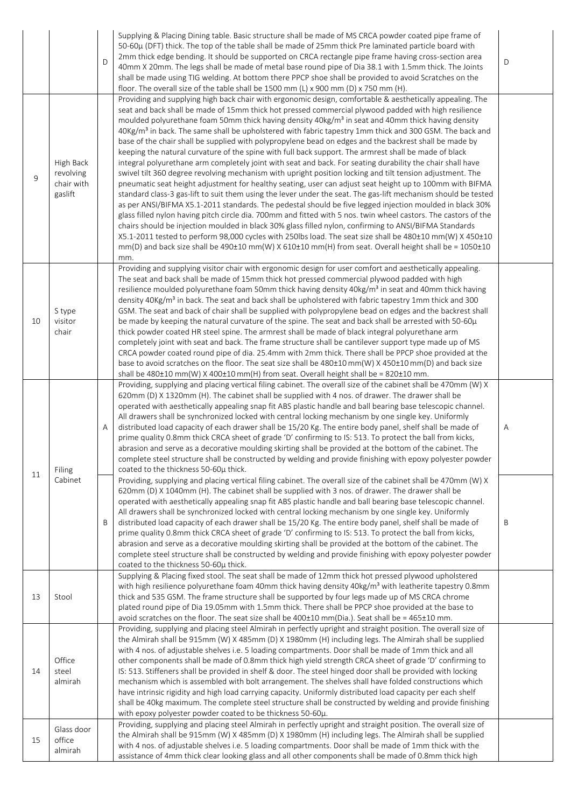|    |                                                 | D | Supplying & Placing Dining table. Basic structure shall be made of MS CRCA powder coated pipe frame of<br>50-60μ (DFT) thick. The top of the table shall be made of 25mm thick Pre laminated particle board with<br>2mm thick edge bending. It should be supported on CRCA rectangle pipe frame having cross-section area<br>40mm X 20mm. The legs shall be made of metal base round pipe of Dia 38.1 with 1.5mm thick. The Joints<br>shall be made using TIG welding. At bottom there PPCP shoe shall be provided to avoid Scratches on the<br>floor. The overall size of the table shall be 1500 mm (L) x 900 mm (D) x 750 mm (H).                                                                                                                                                                                                                                                                                                                                                                                                                                                                                                                                                                                                                                                                                                                                                                                                                                                                                                                                                                                                                                                                         | D |
|----|-------------------------------------------------|---|--------------------------------------------------------------------------------------------------------------------------------------------------------------------------------------------------------------------------------------------------------------------------------------------------------------------------------------------------------------------------------------------------------------------------------------------------------------------------------------------------------------------------------------------------------------------------------------------------------------------------------------------------------------------------------------------------------------------------------------------------------------------------------------------------------------------------------------------------------------------------------------------------------------------------------------------------------------------------------------------------------------------------------------------------------------------------------------------------------------------------------------------------------------------------------------------------------------------------------------------------------------------------------------------------------------------------------------------------------------------------------------------------------------------------------------------------------------------------------------------------------------------------------------------------------------------------------------------------------------------------------------------------------------------------------------------------------------|---|
| 9  | High Back<br>revolving<br>chair with<br>gaslift |   | Providing and supplying high back chair with ergonomic design, comfortable & aesthetically appealing. The<br>seat and back shall be made of 15mm thick hot pressed commercial plywood padded with high resilience<br>moulded polyurethane foam 50mm thick having density 40kg/m <sup>3</sup> in seat and 40mm thick having density<br>40Kg/m <sup>3</sup> in back. The same shall be upholstered with fabric tapestry 1mm thick and 300 GSM. The back and<br>base of the chair shall be supplied with polypropylene bead on edges and the backrest shall be made by<br>keeping the natural curvature of the spine with full back support. The armrest shall be made of black<br>integral polyurethane arm completely joint with seat and back. For seating durability the chair shall have<br>swivel tilt 360 degree revolving mechanism with upright position locking and tilt tension adjustment. The<br>pneumatic seat height adjustment for healthy seating, user can adjust seat height up to 100mm with BIFMA<br>standard class-3 gas-lift to suit them using the lever under the seat. The gas-lift mechanism should be tested<br>as per ANSI/BIFMA X5.1-2011 standards. The pedestal should be five legged injection moulded in black 30%<br>glass filled nylon having pitch circle dia. 700mm and fitted with 5 nos. twin wheel castors. The castors of the<br>chairs should be injection moulded in black 30% glass filled nylon, confirming to ANSI/BIFMA Standards<br>X5.1-2011 tested to perform 98,000 cycles with 250lbs load. The seat size shall be 480±10 mm(W) X 450±10<br>$mm(D)$ and back size shall be 490±10 mm(W) X 610±10 mm(H) from seat. Overall height shall be = 1050±10<br>mm. |   |
| 10 | S type<br>visitor<br>chair                      |   | Providing and supplying visitor chair with ergonomic design for user comfort and aesthetically appealing.<br>The seat and back shall be made of 15mm thick hot pressed commercial plywood padded with high<br>resilience moulded polyurethane foam 50mm thick having density 40kg/m <sup>3</sup> in seat and 40mm thick having<br>density 40Kg/m <sup>3</sup> in back. The seat and back shall be upholstered with fabric tapestry 1mm thick and 300<br>GSM. The seat and back of chair shall be supplied with polypropylene bead on edges and the backrest shall<br>be made by keeping the natural curvature of the spine. The seat and back shall be arrested with 50-60µ<br>thick powder coated HR steel spine. The armrest shall be made of black integral polyurethane arm<br>completely joint with seat and back. The frame structure shall be cantilever support type made up of MS<br>CRCA powder coated round pipe of dia. 25.4mm with 2mm thick. There shall be PPCP shoe provided at the<br>base to avoid scratches on the floor. The seat size shall be 480±10 mm(W) X 450±10 mm(D) and back size<br>shall be $480\pm10$ mm(W) X $400\pm10$ mm(H) from seat. Overall height shall be = $820\pm10$ mm.                                                                                                                                                                                                                                                                                                                                                                                                                                                                                            |   |
| 11 | Filing                                          | Α | Providing, supplying and placing vertical filing cabinet. The overall size of the cabinet shall be 470mm (W) X<br>620mm (D) X 1320mm (H). The cabinet shall be supplied with 4 nos. of drawer. The drawer shall be<br>operated with aesthetically appealing snap fit ABS plastic handle and ball bearing base telescopic channel.<br>All drawers shall be synchronized locked with central locking mechanism by one single key. Uniformly<br>distributed load capacity of each drawer shall be 15/20 Kg. The entire body panel, shelf shall be made of<br>prime quality 0.8mm thick CRCA sheet of grade 'D' confirming to IS: 513. To protect the ball from kicks,<br>abrasion and serve as a decorative moulding skirting shall be provided at the bottom of the cabinet. The<br>complete steel structure shall be constructed by welding and provide finishing with epoxy polyester powder<br>coated to the thickness 50-60µ thick.                                                                                                                                                                                                                                                                                                                                                                                                                                                                                                                                                                                                                                                                                                                                                                        | Α |
|    | Cabinet                                         | B | Providing, supplying and placing vertical filing cabinet. The overall size of the cabinet shall be 470mm (W) X<br>620mm (D) X 1040mm (H). The cabinet shall be supplied with 3 nos. of drawer. The drawer shall be<br>operated with aesthetically appealing snap fit ABS plastic handle and ball bearing base telescopic channel.<br>All drawers shall be synchronized locked with central locking mechanism by one single key. Uniformly<br>distributed load capacity of each drawer shall be 15/20 Kg. The entire body panel, shelf shall be made of<br>prime quality 0.8mm thick CRCA sheet of grade 'D' confirming to IS: 513. To protect the ball from kicks,<br>abrasion and serve as a decorative moulding skirting shall be provided at the bottom of the cabinet. The<br>complete steel structure shall be constructed by welding and provide finishing with epoxy polyester powder<br>coated to the thickness 50-60µ thick.                                                                                                                                                                                                                                                                                                                                                                                                                                                                                                                                                                                                                                                                                                                                                                        | Β |
| 13 | Stool                                           |   | Supplying & Placing fixed stool. The seat shall be made of 12mm thick hot pressed plywood upholstered<br>with high resilience polyurethane foam 40mm thick having density 40kg/m <sup>3</sup> with leatherite tapestry 0.8mm<br>thick and 535 GSM. The frame structure shall be supported by four legs made up of MS CRCA chrome<br>plated round pipe of Dia 19.05mm with 1.5mm thick. There shall be PPCP shoe provided at the base to<br>avoid scratches on the floor. The seat size shall be 400±10 mm(Dia.). Seat shall be = 465±10 mm.                                                                                                                                                                                                                                                                                                                                                                                                                                                                                                                                                                                                                                                                                                                                                                                                                                                                                                                                                                                                                                                                                                                                                                  |   |
| 14 | Office<br>steel<br>almirah                      |   | Providing, supplying and placing steel Almirah in perfectly upright and straight position. The overall size of<br>the Almirah shall be 915mm (W) X 485mm (D) X 1980mm (H) including legs. The Almirah shall be supplied<br>with 4 nos. of adjustable shelves i.e. 5 loading compartments. Door shall be made of 1mm thick and all<br>other components shall be made of 0.8mm thick high yield strength CRCA sheet of grade 'D' confirming to<br>IS: 513. Stiffeners shall be provided in shelf & door. The steel hinged door shall be provided with locking<br>mechanism which is assembled with bolt arrangement. The shelves shall have folded constructions which<br>have intrinsic rigidity and high load carrying capacity. Uniformly distributed load capacity per each shelf<br>shall be 40kg maximum. The complete steel structure shall be constructed by welding and provide finishing<br>with epoxy polyester powder coated to be thickness 50-60µ.                                                                                                                                                                                                                                                                                                                                                                                                                                                                                                                                                                                                                                                                                                                                               |   |
| 15 | Glass door<br>office<br>almirah                 |   | Providing, supplying and placing steel Almirah in perfectly upright and straight position. The overall size of<br>the Almirah shall be 915mm (W) X 485mm (D) X 1980mm (H) including legs. The Almirah shall be supplied<br>with 4 nos. of adjustable shelves i.e. 5 loading compartments. Door shall be made of 1mm thick with the<br>assistance of 4mm thick clear looking glass and all other components shall be made of 0.8mm thick high                                                                                                                                                                                                                                                                                                                                                                                                                                                                                                                                                                                                                                                                                                                                                                                                                                                                                                                                                                                                                                                                                                                                                                                                                                                                 |   |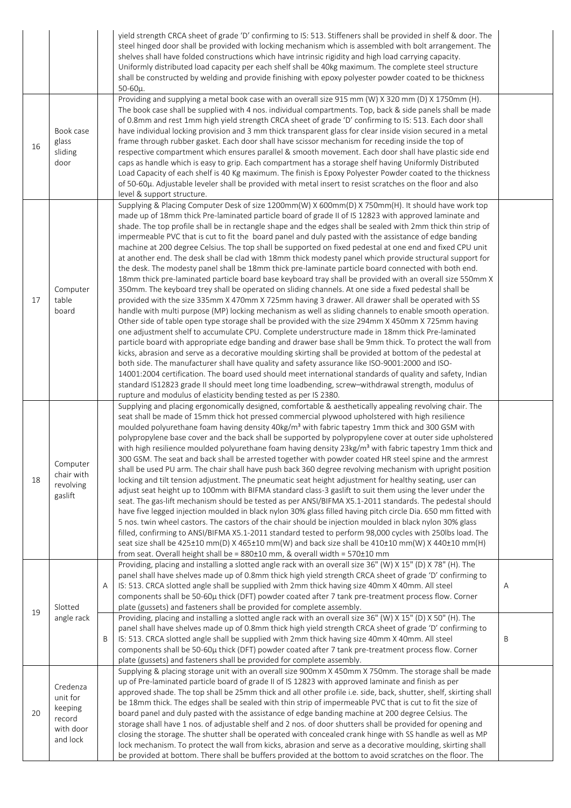|    |                                                                    |        | yield strength CRCA sheet of grade 'D' confirming to IS: 513. Stiffeners shall be provided in shelf & door. The<br>steel hinged door shall be provided with locking mechanism which is assembled with bolt arrangement. The<br>shelves shall have folded constructions which have intrinsic rigidity and high load carrying capacity.<br>Uniformly distributed load capacity per each shelf shall be 40kg maximum. The complete steel structure<br>shall be constructed by welding and provide finishing with epoxy polyester powder coated to be thickness<br>$50 - 60\mu$ .                                                                                                                                                                                                                                                                                                                                                                                                                                                                                                                                                                                                                                                                                                                                                                                                                                                                                                                                                                                                                                                                                                                                                                                                                                                                                                                                                                                                                                                                    |        |
|----|--------------------------------------------------------------------|--------|--------------------------------------------------------------------------------------------------------------------------------------------------------------------------------------------------------------------------------------------------------------------------------------------------------------------------------------------------------------------------------------------------------------------------------------------------------------------------------------------------------------------------------------------------------------------------------------------------------------------------------------------------------------------------------------------------------------------------------------------------------------------------------------------------------------------------------------------------------------------------------------------------------------------------------------------------------------------------------------------------------------------------------------------------------------------------------------------------------------------------------------------------------------------------------------------------------------------------------------------------------------------------------------------------------------------------------------------------------------------------------------------------------------------------------------------------------------------------------------------------------------------------------------------------------------------------------------------------------------------------------------------------------------------------------------------------------------------------------------------------------------------------------------------------------------------------------------------------------------------------------------------------------------------------------------------------------------------------------------------------------------------------------------------------|--------|
| 16 | Book case<br>glass<br>sliding<br>door                              |        | Providing and supplying a metal book case with an overall size 915 mm (W) X 320 mm (D) X 1750mm (H).<br>The book case shall be supplied with 4 nos. individual compartments. Top, back & side panels shall be made<br>of 0.8mm and rest 1mm high yield strength CRCA sheet of grade 'D' confirming to IS: 513. Each door shall<br>have individual locking provision and 3 mm thick transparent glass for clear inside vision secured in a metal<br>frame through rubber gasket. Each door shall have scissor mechanism for receding inside the top of<br>respective compartment which ensures parallel & smooth movement. Each door shall have plastic side end<br>caps as handle which is easy to grip. Each compartment has a storage shelf having Uniformly Distributed<br>Load Capacity of each shelf is 40 Kg maximum. The finish is Epoxy Polyester Powder coated to the thickness<br>of 50-60μ. Adjustable leveler shall be provided with metal insert to resist scratches on the floor and also<br>level & support structure.                                                                                                                                                                                                                                                                                                                                                                                                                                                                                                                                                                                                                                                                                                                                                                                                                                                                                                                                                                                                            |        |
| 17 | Computer<br>table<br>board                                         |        | Supplying & Placing Computer Desk of size 1200mm(W) X 600mm(D) X 750mm(H). It should have work top<br>made up of 18mm thick Pre-laminated particle board of grade II of IS 12823 with approved laminate and<br>shade. The top profile shall be in rectangle shape and the edges shall be sealed with 2mm thick thin strip of<br>impermeable PVC that is cut to fit the board panel and duly pasted with the assistance of edge banding<br>machine at 200 degree Celsius. The top shall be supported on fixed pedestal at one end and fixed CPU unit<br>at another end. The desk shall be clad with 18mm thick modesty panel which provide structural support for<br>the desk. The modesty panel shall be 18mm thick pre-laminate particle board connected with both end.<br>18mm thick pre-laminated particle board base keyboard tray shall be provided with an overall size 550mm X<br>350mm. The keyboard trey shall be operated on sliding channels. At one side a fixed pedestal shall be<br>provided with the size 335mm X 470mm X 725mm having 3 drawer. All drawer shall be operated with SS<br>handle with multi purpose (MP) locking mechanism as well as sliding channels to enable smooth operation.<br>Other side of table open type storage shall be provided with the size 294mm X 450mm X 725mm having<br>one adjustment shelf to accumulate CPU. Complete understructure made in 18mm thick Pre-laminated<br>particle board with appropriate edge banding and drawer base shall be 9mm thick. To protect the wall from<br>kicks, abrasion and serve as a decorative moulding skirting shall be provided at bottom of the pedestal at<br>both side. The manufacturer shall have quality and safety assurance like ISO-9001:2000 and ISO-<br>14001:2004 certification. The board used should meet international standards of quality and safety, Indian<br>standard IS12823 grade II should meet long time loadbending, screw-withdrawal strength, modulus of<br>rupture and modulus of elasticity bending tested as per IS 2380. |        |
| 18 | Computer<br>chair with<br>revolving<br>gaslift                     |        | Supplying and placing ergonomically designed, comfortable & aesthetically appealing revolving chair. The<br>seat shall be made of 15mm thick hot pressed commercial plywood upholstered with high resilience<br>moulded polyurethane foam having density 40kg/m <sup>3</sup> with fabric tapestry 1mm thick and 300 GSM with<br>polypropylene base cover and the back shall be supported by polypropylene cover at outer side upholstered<br>with high resilience moulded polyurethane foam having density 23kg/m <sup>3</sup> with fabric tapestry 1mm thick and<br>300 GSM. The seat and back shall be arrested together with powder coated HR steel spine and the armrest<br>shall be used PU arm. The chair shall have push back 360 degree revolving mechanism with upright position<br>locking and tilt tension adjustment. The pneumatic seat height adjustment for healthy seating, user can<br>adjust seat height up to 100mm with BIFMA standard class-3 gaslift to suit them using the lever under the<br>seat. The gas-lift mechanism should be tested as per ANSI/BIFMA X5.1-2011 standards. The pedestal should<br>have five legged injection moulded in black nylon 30% glass filled having pitch circle Dia. 650 mm fitted with<br>5 nos. twin wheel castors. The castors of the chair should be injection moulded in black nylon 30% glass<br>filled, confirming to ANSI/BIFMA X5.1-2011 standard tested to perform 98,000 cycles with 250lbs load. The<br>seat size shall be 425±10 mm(D) X 465±10 mm(W) and back size shall be 410±10 mm(W) X 440±10 mm(H)<br>from seat. Overall height shall be = 880±10 mm, & overall width = 570±10 mm                                                                                                                                                                                                                                                                                                                                                                                     |        |
| 19 | Slotted<br>angle rack                                              | A<br>B | Providing, placing and installing a slotted angle rack with an overall size 36" (W) X 15" (D) X 78" (H). The<br>panel shall have shelves made up of 0.8mm thick high yield strength CRCA sheet of grade 'D' confirming to<br>IS: 513. CRCA slotted angle shall be supplied with 2mm thick having size 40mm X 40mm. All steel<br>components shall be 50-60µ thick (DFT) powder coated after 7 tank pre-treatment process flow. Corner<br>plate (gussets) and fasteners shall be provided for complete assembly.<br>Providing, placing and installing a slotted angle rack with an overall size 36" (W) X 15" (D) X 50" (H). The<br>panel shall have shelves made up of 0.8mm thick high yield strength CRCA sheet of grade 'D' confirming to<br>IS: 513. CRCA slotted angle shall be supplied with 2mm thick having size 40mm X 40mm. All steel<br>components shall be 50-60µ thick (DFT) powder coated after 7 tank pre-treatment process flow. Corner<br>plate (gussets) and fasteners shall be provided for complete assembly.                                                                                                                                                                                                                                                                                                                                                                                                                                                                                                                                                                                                                                                                                                                                                                                                                                                                                                                                                                                                                 | A<br>B |
| 20 | Credenza<br>unit for<br>keeping<br>record<br>with door<br>and lock |        | Supplying & placing storage unit with an overall size 900mm X 450mm X 750mm. The storage shall be made<br>up of Pre-laminated particle board of grade II of IS 12823 with approved laminate and finish as per<br>approved shade. The top shall be 25mm thick and all other profile i.e. side, back, shutter, shelf, skirting shall<br>be 18mm thick. The edges shall be sealed with thin strip of impermeable PVC that is cut to fit the size of<br>board panel and duly pasted with the assistance of edge banding machine at 200 degree Celsius. The<br>storage shall have 1 nos. of adjustable shelf and 2 nos. of door shutters shall be provided for opening and<br>closing the storage. The shutter shall be operated with concealed crank hinge with SS handle as well as MP<br>lock mechanism. To protect the wall from kicks, abrasion and serve as a decorative moulding, skirting shall<br>be provided at bottom. There shall be buffers provided at the bottom to avoid scratches on the floor. The                                                                                                                                                                                                                                                                                                                                                                                                                                                                                                                                                                                                                                                                                                                                                                                                                                                                                                                                                                                                                                  |        |